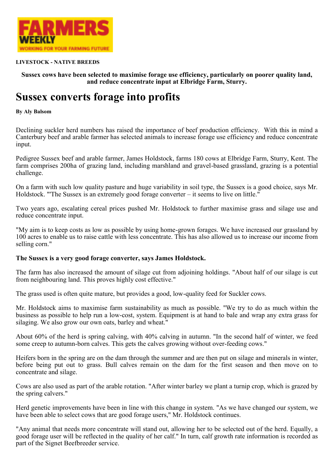

## **LIVESTOCK - NATIVE BREEDS**

**Sussex cows have been selected to maximise forage use efficiency, particularly on poorer quality land, and reduce concentrate input at Elbridge Farm, Sturry.**

## **Sussex converts forage into profits**

**By Aly Balsom**

Declining suckler herd numbers has raised the importance of beef production efficiency. With this in mind a Canterbury beef and arable farmer has selected animals to increase forage use efficiency and reduce concentrate input.

Pedigree Sussex beef and arable farmer, James Holdstock, farms 180 cows at Elbridge Farm, Sturry, Kent. The farm comprises 200ha of grazing land, including marshland and gravel-based grassland, grazing is a potential challenge.

On a farm with such low quality pasture and huge variability in soil type, the Sussex is a good choice, says Mr. Holdstock. "'The Sussex is an extremely good forage converter – it seems to live on little."

Two years ago, escalating cereal prices pushed Mr. Holdstock to further maximise grass and silage use and reduce concentrate input.

"My aim is to keep costs as low as possible by using home-grown forages. We have increased our grassland by 100 acres to enable us to raise cattle with less concentrate. This has also allowed us to increase our income from selling corn."

## **The Sussex is a very good forage converter, says James Holdstock.**

The farm has also increased the amount of silage cut from adjoining holdings. "About half of our silage is cut from neighbouring land. This proves highly cost effective."

The grass used is often quite mature, but provides a good, low-quality feed for Suckler cows.

Mr. Holdstock aims to maximise farm sustainability as much as possible. "We try to do as much within the business as possible to help run a low-cost, system. Equipment is at hand to bale and wrap any extra grass for silaging. We also grow our own oats, barley and wheat."

About 60% of the herd is spring calving, with 40% calving in autumn. "In the second half of winter, we feed some creep to autumn-born calves. This gets the calves growing without over-feeding cows."

Heifers born in the spring are on the dam through the summer and are then put on silage and minerals in winter, before being put out to grass. Bull calves remain on the dam for the first season and then move on to concentrate and silage.

Cows are also used as part of the arable rotation. "After winter barley we plant a turnip crop, which is grazed by the spring calvers."

Herd genetic improvements have been in line with this change in system. "As we have changed our system, we have been able to select cows that are good forage users," Mr. Holdstock continues.

"Any animal that needs more concentrate will stand out, allowing her to be selected out of the herd. Equally, a good forage user will be reflected in the quality of her calf." In turn, calf growth rate information is recorded as part of the Signet Beefbreeder service.